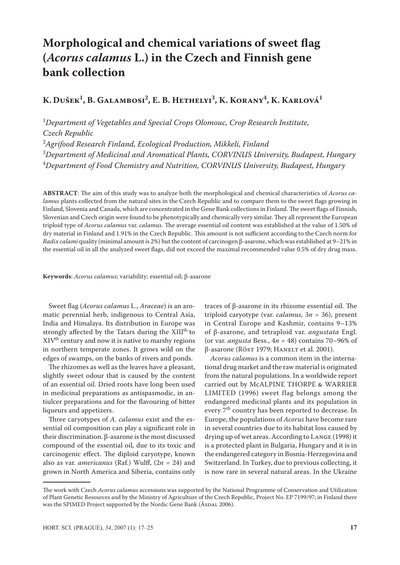# **Morphological and chemical variations of sweet flag (***Acorus calamus* **L.) in the Czech and Finnish gene bank collection**

# **K. Dušek1 , B. Galambosi2 , E. B. Hethelyi3 , K. Korany4 , K. Karlová1**

<sup>1</sup>Department of Vegetables and Special Crops Olomouc, Crop Research Institute, *Czech Republic* 2 *Agrifood Research Finland, Ecological Production, Mikkeli, Finland*

3 *Department of Medicinal and Aromatical Plants, CORVINUS University, Budapest, Hungary* 4 *Department of Food Chemistry and Nutrition, CORVINUS University, Budapest, Hungary*

**ABSTRACT**: The aim of this study was to analyze both the morphological and chemical characteristics of *Acorus calamus* plants collected from the natural sites in the Czech Republic and to compare them to the sweet flags growing in Finland, Slovenia and Canada, which are concentrated in the Gene Bank collections in Finland. The sweet flags of Finnish, Slovenian and Czech origin were found to be phenotypically and chemically very similar. They all represent the European triploid type of *Acorus calamus* var. *calamus*. The average essential oil content was established at the value of 1.50% of dry material in Finland and 1.91% in the Czech Republic. This amount is not sufficient according to the Czech norm for *Radix calami* quality (minimal amount is 2%) but the content of carcinogen β-asarone, which was established at 9–21% in the essential oil in all the analyzed sweet flags, did not exceed the maximal recommended value 0.5% of dry drug mass.

**Keywords**: *Acorus calamus*; variability; essential oil; β-asarone

Sweet flag (*Acorus calamus* L., *Araceae*) is an aromatic perennial herb, indigenous to Central Asia, India and Himalaya. Its distribution in Europe was strongly affected by the Tatars during the XIII<sup>th</sup> to  $XIV<sup>th</sup>$  century and now it is native to marshy regions in northern temperate zones. It grows wild on the edges of swamps, on the banks of rivers and ponds.

The rhizomes as well as the leaves have a pleasant, slightly sweet odour that is caused by the content of an essential oil. Dried roots have long been used in medicinal preparations as antispasmodic, in antiulcer preparations and for the flavouring of bitter liqueurs and appetizers.

Three caryotypes of *A. calamus* exist and the essential oil composition can play a significant role in their discrimination. β-asarone is the most discussed compound of the essential oil, due to its toxic and carcinogenic effect. The diploid caryotype, known also as var. *americanus* (Raf.) Wulff, (2*n* = 24) and grown in North America and Siberia, contains only

traces of β-asarone in its rhizome essential oil. The triploid caryotype (var. *calamus*, 3*n* = 36), present in Central Europe and Kashmir, contains 9–13% of β-asarone, and tetraploid var. *angustata* Engl. (or var. *angusta* Bess., 4*n* = 48) contains 70–96% of β-asarone (Röst 1979; Hanelt et al. 2001).

*Acorus calamus* is a common item in the international drug market and the raw material is originated from the natural populations. In a worldwide report carried out by McALPINE THORPE & WARRIER LIMITED (1996) sweet flag belongs among the endangered medicinal plants and its population in every 7<sup>th</sup> country has been reported to decrease. In Europe, the populations of *Acorus* have become rare in several countries due to its habitat loss caused by drying up of wet areas. According to Lange (1998) it is a protected plant in Bulgaria, Hungary and it is in the endangered category in Bosnia-Herzegovina and Switzerland. In Turkey, due to previous collecting, it is now rare in several natural areas. In the Ukraine

The work with Czech *Acorus calamus* accessions was supported by the National Programme of Conservation and Utilization of Plant Genetic Resources and by the Ministry of Agriculture of the Czech Republic, Project No. EP 7199/97; in Finland there was the SPIMED Project supported by the Nordic Gene Bank (ÅSDAL 2006).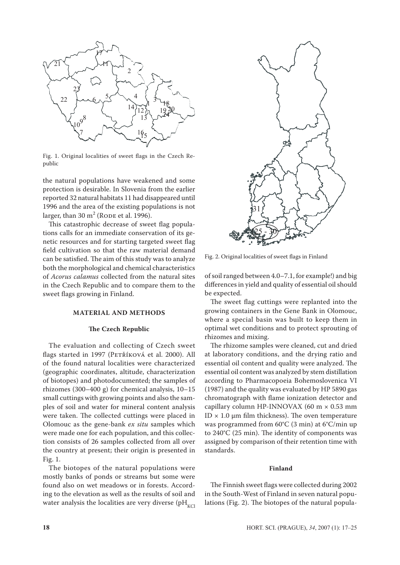

Fig. 1. Original localities of sweet flags in the Czech Republic

the natural populations have weakened and some protection is desirable. In Slovenia from the earlier reported 32 natural habitats 11 had disappeared until 1996 and the area of the existing populations is not larger, than 30  $m^2$  (Rode et al. 1996).

This catastrophic decrease of sweet flag populations calls for an immediate conservation of its genetic resources and for starting targeted sweet flag field cultivation so that the raw material demand can be satisfied. The aim of this study was to analyze both the morphological and chemical characteristics of *Acorus calamus* collected from the natural sites in the Czech Republic and to compare them to the sweet flags growing in Finland.

# **MATERIAL AND METHODS**

### **The Czech Republic**

The evaluation and collecting of Czech sweet flags started in 1997 (PETŘÍKOVÁ et al. 2000). All of the found natural localities were characterized (geographic coordinates, altitude, characterization of biotopes) and photodocumented; the samples of rhizomes (300–400 g) for chemical analysis, 10–15 small cuttings with growing points and also the samples of soil and water for mineral content analysis were taken. The collected cuttings were placed in Olomouc as the gene-bank *ex situ* samples which were made one for each population, and this collection consists of 26 samples collected from all over the country at present; their origin is presented in Fig. 1.

The biotopes of the natural populations were mostly banks of ponds or streams but some were found also on wet meadows or in forests. According to the elevation as well as the results of soil and water analysis the localities are very diverse (pH<sub>KCl</sub>



Fig. 2. Original localities of sweet flags in Finland

of soil ranged between 4.0–7.1, for example!) and big differences in yield and quality of essential oil should be expected.

The sweet flag cuttings were replanted into the growing containers in the Gene Bank in Olomouc, where a special basin was built to keep them in optimal wet conditions and to protect sprouting of rhizomes and mixing.

The rhizome samples were cleaned, cut and dried at laboratory conditions, and the drying ratio and essential oil content and quality were analyzed. The essential oil content was analyzed by stem distillation according to Pharmacopoeia Bohemoslovenica VI (1987) and the quality was evaluated by HP 5890 gas chromatograph with flame ionization detector and capillary column HP-INNOVAX (60 m  $\times$  0.53 mm ID  $\times$  1.0 μm film thickness). The oven temperature was programmed from 60°C (3 min) at 6°C/min up to 240°C (25 min). The identity of components was assigned by comparison of their retention time with standards.

#### **Finland**

The Finnish sweet flags were collected during 2002 in the South-West of Finland in seven natural populations (Fig. 2). The biotopes of the natural popula-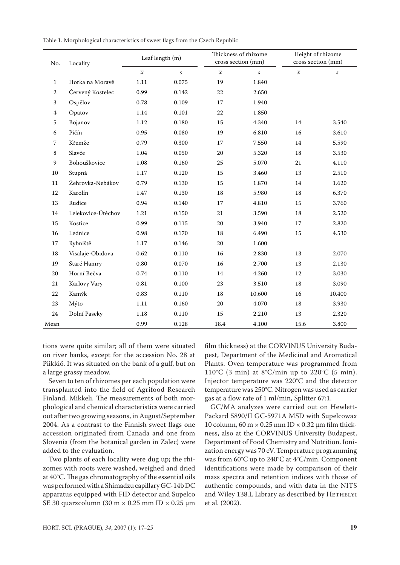| Table 1. Morphological characteristics of sweet flags from the Czech Republic |  |  |
|-------------------------------------------------------------------------------|--|--|
|-------------------------------------------------------------------------------|--|--|

| No.          | Locality           | Leaf length (m)          |                  |                          | Thickness of rhizome<br>cross section (mm) | Height of rhizome<br>cross section (mm) |                  |  |
|--------------|--------------------|--------------------------|------------------|--------------------------|--------------------------------------------|-----------------------------------------|------------------|--|
|              |                    | $\overline{\mathcal{X}}$ | $\boldsymbol{S}$ | $\overline{\mathcal{X}}$ | $\boldsymbol{\mathcal{S}}$                 | $\overline{\mathcal{X}}$                | $\boldsymbol{S}$ |  |
| 1            | Horka na Moravě    | 1.11                     | 0.075            | 19                       | 1.840                                      |                                         |                  |  |
| $\mathbf{2}$ | Červený Kostelec   | 0.99                     | 0.142            | 22                       | 2.650                                      |                                         |                  |  |
| 3            | Ospělov            | 0.78                     | 0.109            | 17                       | 1.940                                      |                                         |                  |  |
| 4            | Opatov             | 1.14                     | 0.101            | 22                       | 1.850                                      |                                         |                  |  |
| 5            | Bojanov            | 1.12                     | 0.180            | 15                       | 4.340                                      | 14                                      | 3.540            |  |
| 6            | Pičín              | 0.95                     | 0.080            | 19                       | 6.810                                      | 16                                      | 3.610            |  |
| 7            | Křemže             | 0.79                     | 0.300            | 17                       | 7.550                                      | 14                                      | 5.590            |  |
| 8            | Slavče             | 1.04                     | 0.050            | 20                       | 5.320                                      | 18                                      | 3.530            |  |
| 9            | Bohouškovice       | 1.08                     | 0.160            | 25                       | 5.070                                      | 21                                      | 4.110            |  |
| 10           | Stupná             | 1.17                     | 0.120            | 15                       | 3.460                                      | 13                                      | 2.510            |  |
| 11           | Žehrovka-Nebákov   | 0.79                     | 0.130            | 15                       | 1.870                                      | 14                                      | 1.620            |  |
| 12           | Karolín            | 1.47                     | 0.130            | 18                       | 5.980                                      | 18                                      | 6.370            |  |
| 13           | Rudice             | 0.94                     | 0.140            | 17                       | 4.810                                      | 15                                      | 3.760            |  |
| 14           | Lelekovice-Útěchov | 1.21                     | 0.150            | 21                       | 3.590                                      | 18                                      | 2.520            |  |
| 15           | Kostice            | 0.99                     | 0.115            | 20                       | 3.940                                      | 17                                      | 2.820            |  |
| 16           | Lednice            | 0.98                     | 0.170            | 18                       | 6.490                                      | 15                                      | 4.530            |  |
| 17           | Rybniště           | 1.17                     | 0.146            | 20                       | 1.600                                      |                                         |                  |  |
| 18           | Visalaje-Obidova   | 0.62                     | 0.110            | 16                       | 2.830                                      | 13                                      | 2.070            |  |
| 19           | Staré Hamry        | 0.80                     | 0.070            | 16                       | 2.700                                      | 13                                      | 2.130            |  |
| 20           | Horní Bečva        | 0.74                     | 0.110            | 14                       | 4.260                                      | 12                                      | 3.030            |  |
| 21           | Karlovy Vary       | 0.81                     | 0.100            | 23                       | 3.510                                      | 18                                      | 3.090            |  |
| 22           | Kamýk              | 0.83                     | 0.110            | 18                       | 10.600                                     | 16                                      | 10.400           |  |
| 23           | Mýto               | 1.11                     | 0.160            | 20                       | 4.070                                      | 18                                      | 3.930            |  |
| 24           | Dolní Paseky       | 1.18                     | 0.110            | 15                       | 2.210                                      | 13                                      | 2.320            |  |
| Mean         |                    | 0.99                     | 0.128            | 18.4                     | 4.100                                      | 15.6                                    | 3.800            |  |

tions were quite similar; all of them were situated on river banks, except for the accession No. 28 at Piikkiö. It was situated on the bank of a gulf, but on a large grassy meadow.

Seven to ten of rhizomes per each population were transplanted into the field of Agrifood Research Finland, Mikkeli. The measurements of both morphological and chemical characteristics were carried out after two growing seasons, in August/September 2004. As a contrast to the Finnish sweet flags one accession originated from Canada and one from Slovenia (from the botanical garden in Zalec) were added to the evaluation.

Two plants of each locality were dug up; the rhizomes with roots were washed, weighed and dried at 40°C. The gas chromatography of the essential oils was performed with a Shimadzu capillary GC-14b DC apparatus equipped with FID detector and Supelco SE 30 quarzcolumn (30 m  $\times$  0.25 mm ID  $\times$  0.25 µm film thickness) at the CORVINUS University Budapest, Department of the Medicinal and Aromatical Plants. Oven temperature was programmed from 110°C (3 min) at  $8^{\circ}$ C/min up to 220°C (5 min). Injector temperature was 220°C and the detector temperature was 250°C. Nitrogen was used as carrier gas at a flow rate of 1 ml/min, Splitter 67:1.

GC/MA analyzes were carried out on Hewlett-Packard 5890/II GC-5971A MSD with Supelcowax 10 column, 60 m  $\times$  0.25 mm ID  $\times$  0.32 µm film thickness, also at the CORVINUS University Budapest, Department of Food Chemistry and Nutrition. Ionization energy was 70 eV. Temperature programming was from 60°C up to 240°C at 4°C/min. Component identifications were made by comparison of their mass spectra and retention indices with those of authentic compounds, and with data in the NITS and Wiley 138.L Library as described by HETHELYI et al. (2002).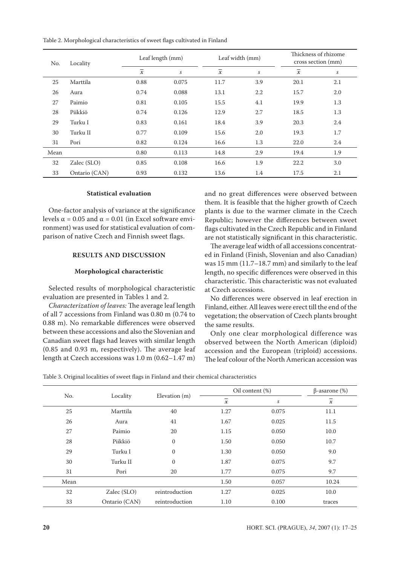Table 2. Morphological characteristics of sweet flags cultivated in Finland

| No.  | Locality      |                          | Leaf length (mm) |                          | Leaf width (mm)            | Thickness of rhizome<br>cross section (mm) |     |  |
|------|---------------|--------------------------|------------------|--------------------------|----------------------------|--------------------------------------------|-----|--|
|      |               | $\overline{\mathcal{X}}$ | S                | $\overline{\mathcal{X}}$ | $\boldsymbol{\mathcal{S}}$ | $\overline{\mathcal{X}}$                   | S   |  |
| 25   | Marttila      | 0.88                     | 0.075            | 11.7                     | 3.9                        | 20.1                                       | 2.1 |  |
| 26   | Aura          | 0.74                     | 0.088            | 13.1                     | 2.2                        | 15.7                                       | 2.0 |  |
| 27   | Paimio        | 0.81                     | 0.105            | 15.5                     | 4.1                        | 19.9                                       | 1.3 |  |
| 28   | Piikkiö       | 0.74                     | 0.126            | 12.9                     | 2.7                        | 18.5                                       | 1.3 |  |
| 29   | Turku I       | 0.83                     | 0.161            | 18.4                     | 3.9                        | 20.3                                       | 2.4 |  |
| 30   | Turku II      | 0.77                     | 0.109            | 15.6                     | 2.0                        | 19.3                                       | 1.7 |  |
| 31   | Pori          | 0.82                     | 0.124            | 16.6                     | 1.3                        | 22.0                                       | 2.4 |  |
| Mean |               | 0.80                     | 0.113            | 14.8                     | 2.9                        | 19.4                                       | 1.9 |  |
| 32   | Zalec (SLO)   | 0.85                     | 0.108            | 16.6                     | 1.9                        | 22.2                                       | 3.0 |  |
| 33   | Ontario (CAN) | 0.93                     | 0.132            | 13.6                     | 1.4                        | 17.5                                       | 2.1 |  |

#### **Statistical evaluation**

One-factor analysis of variance at the significance levels  $\alpha$  = 0.05 and  $\alpha$  = 0.01 (in Excel software environment) was used for statistical evaluation of comparison of native Czech and Finnish sweet flags.

# **RESULTS AND DISCUSSION**

### **Morphological characteristic**

Selected results of morphological characteristic evaluation are presented in Tables 1 and 2.

*Characterization of leaves:* The average leaf length of all 7 accessions from Finland was 0.80 m (0.74 to 0.88 m). No remarkable differences were observed between these accessions and also the Slovenian and Canadian sweet flags had leaves with similar length (0.85 and 0.93 m, respectively). The average leaf length at Czech accessions was 1.0 m (0.62–1.47 m) and no great differences were observed between them. It is feasible that the higher growth of Czech plants is due to the warmer climate in the Czech Republic; however the differences between sweet flags cultivated in the Czech Republic and in Finland are not statistically significant in this characteristic.

The average leaf width of all accessions concentrated in Finland (Finish, Slovenian and also Canadian) was 15 mm (11.7–18.7 mm) and similarly to the leaf length, no specific differences were observed in this characteristic. This characteristic was not evaluated at Czech accessions.

No differences were observed in leaf erection in Finland, either. All leaves were erect till the end of the vegetation; the observation of Czech plants brought the same results.

Only one clear morphological difference was observed between the North American (diploid) accession and the European (triploid) accessions. The leaf colour of the North American accession was

Table 3. Original localities of sweet flags in Finland and their chemical characteristics

| No.  |               |                |                          | Oil content (%)  |                          |  |  |
|------|---------------|----------------|--------------------------|------------------|--------------------------|--|--|
|      | Locality      | Elevation (m)  | $\overline{\mathcal{X}}$ | $\boldsymbol{S}$ | $\overline{\mathcal{X}}$ |  |  |
| 25   | Marttila      | 40             | 1.27                     | 0.075            | 11.1                     |  |  |
| 26   | Aura          | 41             | 1.67                     | 0.025            | 11.5                     |  |  |
| 27   | Paimio        | 20             | 1.15                     | 0.050            | 10.0                     |  |  |
| 28   | Piikkiö       | $\mathbf{0}$   | 1.50                     | 0.050            | 10.7                     |  |  |
| 29   | Turku I       | $\mathbf{0}$   | 1.30                     | 0.050            | 9.0                      |  |  |
| 30   | Turku II      | $\mathbf{0}$   | 1.87                     | 0.075            | 9.7                      |  |  |
| 31   | Pori          | 20             | 1.77                     | 0.075            | 9.7                      |  |  |
| Mean |               |                | 1.50                     | 0.057            | 10.24                    |  |  |
| 32   | Zalec (SLO)   | reintroduction | 1.27                     | 0.025            | 10.0                     |  |  |
| 33   | Ontario (CAN) | reintroduction | 1.10                     | 0.100            | traces                   |  |  |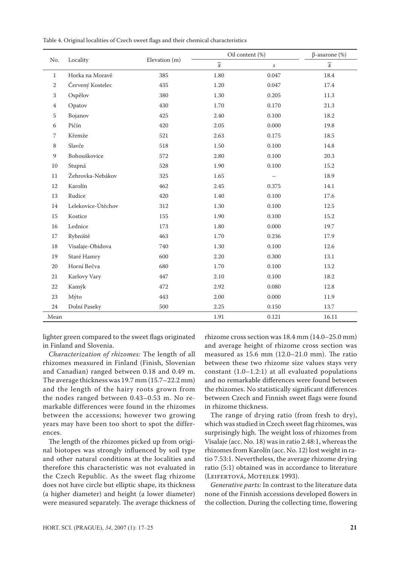Table 4. Original localities of Czech sweet flags and their chemical characteristics

|              | Locality           |               |                | Oil content (%)  | $\beta$ -asarone (%) |  |  |
|--------------|--------------------|---------------|----------------|------------------|----------------------|--|--|
| No.          |                    | Elevation (m) | $\overline{x}$ | $\boldsymbol{S}$ | $\overline{x}$       |  |  |
| $\mathbf{1}$ | Horka na Moravě    | 385           | 1.80           | 0.047            | 18.4                 |  |  |
| 2            | Červený Kostelec   | 435           | 1.20           | 0.047            | 17.4                 |  |  |
| 3            | Ospělov            | 380           | 1.30           | 0.205            | $11.3\,$             |  |  |
| 4            | Opatov             | 430           | 1.70           | 0.170            | 21.3                 |  |  |
| 5            | Bojanov            | 425           | 2.40           | 0.100            | 18.2                 |  |  |
| 6            | Pičín              | 420           | 2.05           | 0.000            | 19.8                 |  |  |
| 7            | Křemže             | 521           | 2.63           | 0.175            | 18.5                 |  |  |
| 8            | Slavče             | 518           | 1.50           | 0.100            | 14.8                 |  |  |
| 9            | Bohouškovice       | 572           | 2.80           | 0.100            | 20.3                 |  |  |
| 10           | Stupná             | 528           | 1.90           | 0.100            | 15.2                 |  |  |
| 11           | Žehrovka-Nebákov   | 325           | 1.65           |                  | 18.9                 |  |  |
| $12\,$       | Karolín            | 462           | 2.45           | 0.375            | 14.1                 |  |  |
| 13           | Rudice             | 420           | 1.40           | 0.100            | 17.6                 |  |  |
| 14           | Lelekovice-Útěchov | 312           | 1.30           | 0.100            | 12.5                 |  |  |
| 15           | Kostice            | 155           | 1.90           | 0.100            | 15.2                 |  |  |
| 16           | Lednice            | 173           | 1.80           | 0.000            | 19.7                 |  |  |
| 17           | Rybniště           | 463           | 1.70           | 0.236            | 17.9                 |  |  |
| 18           | Visalaje-Obidova   | 740           | 1.30           | 0.100            | 12.6                 |  |  |
| 19           | Staré Hamry        | 600           | 2.20           | 0.300            | 13.1                 |  |  |
| 20           | Horní Bečva        | 680           | 1.70           | 0.100            | 13.2                 |  |  |
| 21           | Karlovy Vary       | 447           | 2.10           | 0.100            | 18.2                 |  |  |
| 22           | Kamýk              | 472           | 2.92           | 0.080            | 12.8                 |  |  |
| 23           | Mýto               | 443           | 2.00           | 0.000            | 11.9                 |  |  |
| 24           | Dolní Paseky       | 500           | 2.25           | 0.150            | 13.7                 |  |  |
| Mean         |                    |               | 1.91           | 0.121            | 16.11                |  |  |

lighter green compared to the sweet flags originated in Finland and Slovenia.

*Characterization of rhizomes:* The length of all rhizomes measured in Finland (Finish, Slovenian and Canadian) ranged between 0.18 and 0.49 m. The average thickness was 19.7 mm (15.7–22.2 mm) and the length of the hairy roots grown from the nodes ranged between 0.43–0.53 m. No remarkable differences were found in the rhizomes between the accessions; however two growing years may have been too short to spot the differences.

The length of the rhizomes picked up from original biotopes was strongly influenced by soil type and other natural conditions at the localities and therefore this characteristic was not evaluated in the Czech Republic. As the sweet flag rhizome does not have circle but elliptic shape, its thickness (a higher diameter) and height (a lower diameter) were measured separately. The average thickness of

rhizome cross section was 18.4 mm (14.0–25.0 mm) and average height of rhizome cross section was measured as 15.6 mm (12.0–21.0 mm). The ratio between these two rhizome size values stays very constant (1.0–1.2:1) at all evaluated populations and no remarkable differences were found between the rhizomes. No statistically significant differences between Czech and Finnish sweet flags were found in rhizome thickness.

The range of drying ratio (from fresh to dry), which was studied in Czech sweet flag rhizomes, was surprisingly high. The weight loss of rhizomes from Visalaje (acc. No. 18) was in ratio 2.48:1, whereas the rhizomes from Karolín (acc. No. 12) lost weight in ratio 7.53:1. Nevertheless, the average rhizome drying ratio (5:1) obtained was in accordance to literature (LEIFERTOVÁ, MOTEILEK 1993).

*Generative parts:* In contrast to the literature data none of the Finnish accessions developed flowers in the collection. During the collecting time, flowering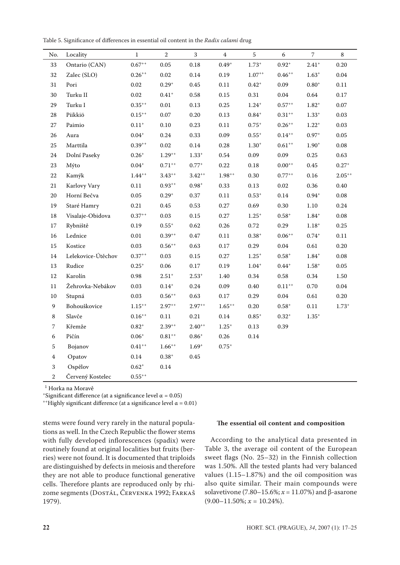Table 5. Significance of differences in essential oil content in the *Radix calami* drug

| No.              | Locality           | $\mathbf 1$          | $\sqrt{2}$           | 3                    | $\overline{4}$ | $\sqrt{5}$                    | $\sqrt{6}$                    | $\overline{7}$ | $\,8\,$     |
|------------------|--------------------|----------------------|----------------------|----------------------|----------------|-------------------------------|-------------------------------|----------------|-------------|
| 33               | Ontario (CAN)      | $0.67^{++}$          | 0.05                 | 0.18                 | $0.49^{+}$     | $1.73^{+}$                    | $0.92^{+}$                    | $2.41+$        | 0.20        |
| 32               | Zalec (SLO)        | $0.26^{\circ\circ}$  | $0.02\,$             | 0.14                 | 0.19           | $1.07^{++}$                   | $0.46^{++}$                   | $1.63^{+}$     | $0.04\,$    |
| 31               | Pori               | 0.02                 | $0.29^{+}$           | 0.45                 | 0.11           | $0.42^{+}$                    | 0.09                          | $0.80^{+}$     | 0.11        |
| 30               | Turku II           | 0.02                 | $0.41^{+}$           | 0.58                 | 0.15           | $0.31\,$                      | 0.04                          | 0.64           | 0.17        |
| 29               | Turku I            | $0.35^{++}$          | $0.01\,$             | 0.13                 | 0.25           | $1.24^{+}$                    | $0.57$ <sup>++</sup>          | $1.82^{+}$     | 0.07        |
| 28               | Piikkiö            | $0.15^{\circ +}$     | 0.07                 | $0.20\,$             | 0.13           | $0.84^{\circ}$                | $0.31^{\scriptscriptstyle++}$ | $1.33^{+}$     | 0.03        |
| 27               | Paimio             | $0.11^{\mathrm{+}}$  | $0.10\,$             | 0.23                 | 0.11           | $0.75^{+}$                    | $0.26^{++}$                   | $1.22^{+}$     | 0.03        |
| 26               | Aura               | $0.04^{+}$           | 0.24                 | 0.33                 | 0.09           | $0.55^{\circ}$                | $0.14$ <sup>++</sup>          | $0.97^{+}$     | 0.05        |
| 25               | Marttila           | $0.39^{++}$          | 0.02                 | $0.14\,$             | 0.28           | $1.30^{+}$                    | $0.61$ <sup>++</sup>          | $1.90^{+}$     | 0.08        |
| 24               | Dolní Paseky       | $0.26^{+}$           | $1.29^{\circ +}$     | $1.33^{+}$           | 0.54           | 0.09                          | 0.09                          | 0.25           | 0.63        |
| 23               | Mýto               | $0.04^{+}$           | $0.71$ <sup>++</sup> | $0.77^{+}$           | 0.22           | $0.18\,$                      | $0.00^{++}$                   | 0.45           | $0.27^{+}$  |
| 22               | Kamýk              | $1.44^{++}$          | $3.43$ <sup>++</sup> | $3.42$ <sup>++</sup> | $1.98^{++}$    | 0.30                          | $0.77$ <sup>++</sup>          | 0.16           | $2.05^{++}$ |
| 21               | Karlovy Vary       | $0.11\,$             | $0.93^{++}$          | $0.98^{+}$           | 0.33           | 0.13                          | 0.02                          | 0.36           | $0.40\,$    |
| 20               | Horní Bečva        | 0.05                 | $0.29^{+}$           | 0.37                 | 0.11           | $0.53^{+}$                    | $0.14\,$                      | $0.94^{+}$     | $0.08\,$    |
| 19               | Staré Hamry        | 0.21                 | 0.45                 | 0.53                 | 0.27           | 0.69                          | 0.30                          | $1.10\,$       | 0.24        |
| 18               | Visalaje-Obidova   | $0.37**$             | 0.03                 | 0.15                 | 0.27           | $1.25^{+}$                    | $0.58^{+}$                    | $1.84^{\circ}$ | $0.08\,$    |
| 17               | Rybniště           | 0.19                 | $0.55^{+}$           | 0.62                 | 0.26           | 0.72                          | 0.29                          | $1.18^{+}$     | 0.25        |
| 16               | Lednice            | $0.01\,$             | $0.39^{++}$          | 0.47                 | 0.11           | $0.38^{\scriptscriptstyle +}$ | $0.06^{\mathrm{++}}$          | $0.74^{+}$     | 0.11        |
| 15               | Kostice            | 0.03                 | $0.56^{++}$          | 0.63                 | 0.17           | 0.29                          | 0.04                          | 0.61           | 0.20        |
| 14               | Lelekovice-Útěchov | $0.37**$             | 0.03                 | 0.15                 | 0.27           | $1.25^{+}$                    | $0.58^{+}$                    | $1.84^{+}$     | $0.08\,$    |
| 13               | Rudice             | $0.25^{+}$           | 0.06                 | $0.17\,$             | 0.19           | $1.04^{+}$                    | $0.44^{+}$                    | $1.58^{+}$     | $0.05\,$    |
| 12               | Karolín            | 0.98                 | $2.51^{\circ}$       | $2.53^{+}$           | 1.40           | 0.34                          | 0.58                          | 0.34           | 1.50        |
| $11\,$           | Žehrovka-Nebákov   | 0.03                 | $0.14^{+}$           | $0.24\,$             | 0.09           | $0.40\,$                      | $0.11^{++}$                   | 0.70           | $0.04\,$    |
| 10               | Stupná             | 0.03                 | $0.56^{++}$          | 0.63                 | 0.17           | 0.29                          | $0.04\,$                      | 0.61           | 0.20        |
| $\mathbf{9}$     | Bohouškovice       | $1.15***$            | $2.97**$             | $2.97^{++}$          | $1.65^{++}$    | $0.20\,$                      | $0.58^{+}$                    | 0.11           | $1.73^{+}$  |
| $\,8\,$          | Slavče             | $0.16^{++}$          | $0.11\,$             | 0.21                 | $0.14\,$       | $0.85^{+}$                    | $0.32^{+}$                    | $1.35^{\circ}$ |             |
| $\sqrt{ }$       | Křemže             | $0.82^{+}$           | $2.39^{++}$          | $2.40^{++}$          | $1.25^{+}$     | 0.13                          | 0.39                          |                |             |
| $\boldsymbol{6}$ | Pičín              | $0.06^{\circ}$       | $0.81^{++}$          | $0.86^{+}$           | 0.26           | $0.14\,$                      |                               |                |             |
| $\sqrt{5}$       | Bojanov            | $0.41$ <sup>++</sup> | $1.66^{\circ +}$     | $1.69^{+}$           | $0.75^{+}$     |                               |                               |                |             |
| $\bf 4$          | Opatov             | $0.14\,$             | $0.38^{\mathrm{+}}$  | $0.45\,$             |                |                               |                               |                |             |
| $\,$ 3 $\,$      | Ospělov            | $0.62^{+}$           | $0.14\,$             |                      |                |                               |                               |                |             |
| $\overline{2}$   | Červený Kostelec   | $0.55^{++}$          |                      |                      |                |                               |                               |                |             |

<sup>1</sup> Horka na Moravě

+Significant difference (at a significance level  $\alpha$  = 0.05)

<sup>++</sup>Highly significant difference (at a significance level  $\alpha$  = 0.01)

stems were found very rarely in the natural populations as well. In the Czech Republic the flower stems with fully developed inflorescences (spadix) were routinely found at original localities but fruits (berries) were not found. It is documented that triploids are distinguished by defects in meiosis and therefore they are not able to produce functional generative cells. Therefore plants are reproduced only by rhizome segments (Dostál, Červenka 1992; Farkaš 1979).

# **The essential oil content and composition**

According to the analytical data presented in Table 3, the average oil content of the European sweet flags (No. 25–32) in the Finnish collection was 1.50%. All the tested plants had very balanced values (1.15–1.87%) and the oil composition was also quite similar. Their main compounds were solavetivone (7.80–15.6%; *x* = 11.07%) and β-asarone  $(9.00-11.50\%; x = 10.24\%).$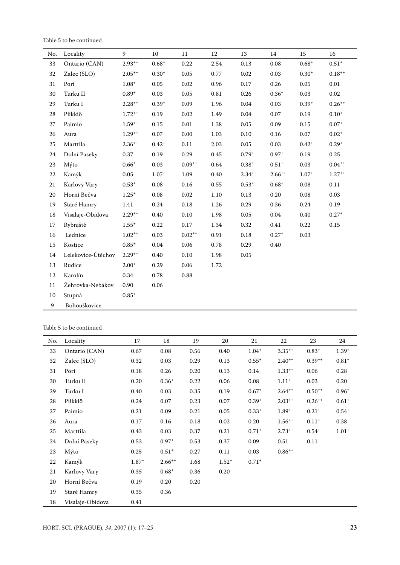Table 5 to be continued

| No.    | Locality           | 9           | 10         | 11          | 12   | 13          | 14          | 15         | 16                            |
|--------|--------------------|-------------|------------|-------------|------|-------------|-------------|------------|-------------------------------|
| 33     | Ontario (CAN)      | $2.93^{++}$ | $0.68^{+}$ | 0.22        | 2.54 | 0.13        | 0.08        | $0.68^{+}$ | $0.51^{+}$                    |
| 32     | Zalec (SLO)        | $2.05^{++}$ | $0.30^{+}$ | 0.05        | 0.77 | 0.02        | 0.03        | $0.30^{+}$ | $0.18^{++}$                   |
| 31     | Pori               | $1.08^{+}$  | 0.05       | 0.02        | 0.96 | $0.17\,$    | 0.26        | $0.05\,$   | 0.01                          |
| 30     | Turku II           | $0.89^{+}$  | 0.03       | 0.05        | 0.81 | 0.26        | $0.36^{+}$  | $0.03\,$   | $0.02\,$                      |
| 29     | Turku I            | $2.28^{++}$ | $0.39^{+}$ | 0.09        | 1.96 | $0.04\,$    | 0.03        | $0.39^{+}$ | $0.26^{++}$                   |
| 28     | Piikkiö            | $1.72^{++}$ | 0.19       | 0.02        | 1.49 | 0.04        | 0.07        | 0.19       | $0.10^{+}$                    |
| 27     | Paimio             | $1.59^{++}$ | 0.15       | $0.01\,$    | 1.38 | $0.05\,$    | 0.09        | $0.15\,$   | $0.07^{\mathrm{+}}$           |
| 26     | Aura               | $1.29^{++}$ | $0.07\,$   | $0.00\,$    | 1.03 | $0.10\,$    | $0.16\,$    | $0.07\,$   | $0.02^{\scriptscriptstyle +}$ |
| $25\,$ | Marttila           | $2.36^{++}$ | $0.42^{+}$ | $0.11\,$    | 2.03 | $0.05\,$    | $0.03\,$    | $0.42^{+}$ | $0.29^{+}$                    |
| 24     | Dolní Paseky       | 0.37        | 0.19       | 0.29        | 0.45 | $0.79^{+}$  | $0.97^{+}$  | 0.19       | 0.25                          |
| 23     | Mýto               | $0.66^{+}$  | 0.03       | $0.09^{++}$ | 0.64 | $0.38^{+}$  | $0.51^{+}$  | 0.03       | $0.04^{++}$                   |
| $22\,$ | Kamýk              | $0.05\,$    | $1.07+$    | 1.09        | 0.40 | $2.34^{++}$ | $2.66^{++}$ | $1.07+$    | $1.27$ <sup>++</sup>          |
| $21\,$ | Karlovy Vary       | $0.53^{+}$  | $0.08\,$   | $0.16\,$    | 0.55 | $0.53^{+}$  | $0.68^{+}$  | $0.08\,$   | 0.11                          |
| 20     | Horní Bečva        | $1.25^{+}$  | 0.08       | 0.02        | 1.10 | 0.13        | 0.20        | 0.08       | 0.03                          |
| 19     | Staré Hamry        | 1.41        | 0.24       | $0.18\,$    | 1.26 | 0.29        | 0.36        | $0.24\,$   | 0.19                          |
| 18     | Visalaje-Obidova   | $2.29^{++}$ | 0.40       | 0.10        | 1.98 | 0.05        | $0.04\,$    | 0.40       | $0.27^{+}$                    |
| $17\,$ | Rybniště           | $1.55^{+}$  | 0.22       | $0.17\,$    | 1.34 | 0.32        | 0.41        | 0.22       | $0.15\,$                      |
| 16     | Lednice            | $1.02^{++}$ | 0.03       | $0.02^{++}$ | 0.91 | $0.18\,$    | $0.27^{+}$  | 0.03       |                               |
| 15     | Kostice            | $0.85^{+}$  | $0.04\,$   | 0.06        | 0.78 | 0.29        | 0.40        |            |                               |
| 14     | Lelekovice-Útěchov | $2.29^{++}$ | 0.40       | 0.10        | 1.98 | 0.05        |             |            |                               |
| $13\,$ | Rudice             | $2.00^{+}$  | 0.29       | 0.06        | 1.72 |             |             |            |                               |
| 12     | Karolín            | 0.34        | 0.78       | 0.88        |      |             |             |            |                               |
| 11     | Žehrovka-Nebákov   | 0.90        | 0.06       |             |      |             |             |            |                               |
| 10     | Stupná             | $0.85^{+}$  |            |             |      |             |             |            |                               |
| 9      | Bohouškovice       |             |            |             |      |             |             |            |                               |

Table 5 to be continued

| No. | Locality         | 17      | 18          | 19   | 20         | 21         | 22                   | 23          | 24         |
|-----|------------------|---------|-------------|------|------------|------------|----------------------|-------------|------------|
| 33  | Ontario (CAN)    | 0.67    | 0.08        | 0.56 | 0.40       | $1.04^{+}$ | $3.35^{++}$          | $0.83^{+}$  | $1.39^{+}$ |
| 32  | Zalec (SLO)      | 0.32    | 0.03        | 0.29 | 0.13       | $0.55^{+}$ | $2.40^{++}$          | $0.39^{++}$ | $0.81^{+}$ |
| 31  | Pori             | 0.18    | 0.26        | 0.20 | 0.13       | 0.14       | $1.33^{++}$          | 0.06        | 0.28       |
| 30  | Turku II         | 0.20    | $0.36^{+}$  | 0.22 | 0.06       | 0.08       | $1.11^{+}$           | 0.03        | 0.20       |
| 29  | Turku I          | 0.40    | 0.03        | 0.35 | 0.19       | $0.67^{+}$ | $2.64$ <sup>**</sup> | $0.50^{++}$ | $0.96^{+}$ |
| 28  | Piikkiö          | 0.24    | 0.07        | 0.23 | 0.07       | $0.39^{+}$ | $2.03^{++}$          | $0.26^{++}$ | $0.61^{+}$ |
| 27  | Paimio           | 0.21    | 0.09        | 0.21 | 0.05       | $0.33^{+}$ | $1.89^{++}$          | $0.21^{+}$  | $0.54^{+}$ |
| 26  | Aura             | 0.17    | 0.16        | 0.18 | 0.02       | 0.20       | $1.56^{++}$          | $0.11^{+}$  | 0.38       |
| 25  | Marttila         | 0.43    | 0.03        | 0.37 | 0.21       | $0.71^{+}$ | $2.73^{++}$          | $0.54^{+}$  | $1.01^{+}$ |
| 24  | Dolní Paseky     | 0.53    | $0.97^{+}$  | 0.53 | 0.37       | 0.09       | 0.51                 | 0.11        |            |
| 23  | Mýto             | 0.25    | $0.51^{+}$  | 0.27 | 0.11       | 0.03       | $0.86^{++}$          |             |            |
| 22  | Kamýk            | $1.87+$ | $2.66^{++}$ | 1.68 | $1.52^{+}$ | $0.71^{+}$ |                      |             |            |
| 21  | Karlovy Vary     | 0.35    | $0.68^{+}$  | 0.36 | 0.20       |            |                      |             |            |
| 20  | Horní Bečva      | 0.19    | 0.20        | 0.20 |            |            |                      |             |            |
| 19  | Staré Hamry      | 0.35    | 0.36        |      |            |            |                      |             |            |
| 18  | Visalaje-Obidova | 0.41    |             |      |            |            |                      |             |            |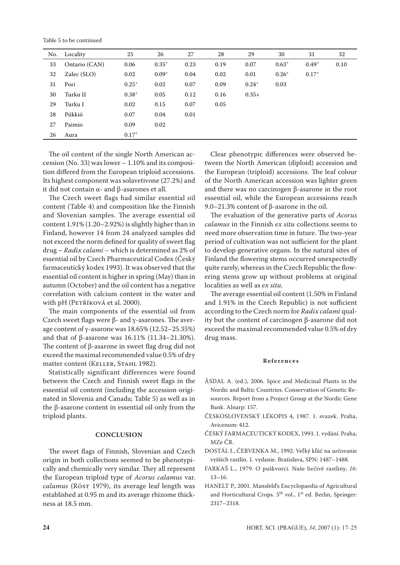Table 5 to be continued

| No. | Locality      | 25         | 26         | 27   | 28   | 29         | 30         | 31         | 32   |
|-----|---------------|------------|------------|------|------|------------|------------|------------|------|
| 33  | Ontario (CAN) | 0.06       | $0.35^{+}$ | 0.23 | 0.19 | 0.07       | $0.63^{+}$ | $0.49^{+}$ | 0.10 |
| 32  | Zalec (SLO)   | 0.02       | $0.09^{+}$ | 0.04 | 0.02 | 0.01       | $0.26^{+}$ | $0.17^{+}$ |      |
| 31  | Pori          | $0.25^{+}$ | 0.02       | 0.07 | 0.09 | $0.24^{+}$ | 0.03       |            |      |
| 30  | Turku II      | $0.38^{+}$ | 0.05       | 0.12 | 0.16 | $0.35+$    |            |            |      |
| 29  | Turku I       | 0.02       | 0.15       | 0.07 | 0.05 |            |            |            |      |
| 28  | Piikkiö       | 0.07       | 0.04       | 0.01 |      |            |            |            |      |
| 27  | Paimio        | 0.09       | 0.02       |      |      |            |            |            |      |
| 26  | Aura          | $0.17^{+}$ |            |      |      |            |            |            |      |
|     |               |            |            |      |      |            |            |            |      |

The oil content of the single North American accession (No. 33) was lower – 1.10% and its composition differed from the European triploid accessions. Its highest component was solavetivone (27.2%) and it did not contain  $α$ - and  $β$ -asarones et all.

The Czech sweet flags had similar essential oil content (Table 4) and composition like the Finnish and Slovenian samples. The average essential oil content 1.91% (1.20–2.92%) is slightly higher than in Finland, however 14 from 24 analyzed samples did not exceed the norm defined for quality of sweet flag drug – *Radix calami* – which is determined as 2% of essential oil by Czech Pharmaceutical Codex (Český farmaceutický kodex 1993). It was observed that the essential oil content is higher in spring (May) than in autumn (October) and the oil content has a negative correlation with calcium content in the water and with pH (PETŘÍKOVÁ et al. 2000).

The main components of the essential oil from Czech sweet flags were β- and γ-asarones. The average content of γ-asarone was  $18.65\%$  (12.52–25.35%) and that of β-asarone was 16.11% (11.34–21.30%). The content of β-asarone in sweet flag drug did not exceed the maximal recommended value 0.5% of dry matter content (KELLER, STAHL 1982).

Statistically significant differences were found between the Czech and Finnish sweet flags in the essential oil content (including the accession originated in Slovenia and Canada; Table 5) as well as in the β-asarone content in essential oil only from the triploid plants.

## **CONCLUSION**

The sweet flags of Finnish, Slovenian and Czech origin in both collections seemed to be phenotypically and chemically very similar. They all represent the European triploid type of *Acorus calamus* var. *calamus* (Röst 1979), its average leaf length was established at 0.95 m and its average rhizome thickness at 18.5 mm.

Clear phenotypic differences were observed between the North American (diploid) accession and the European (triploid) accessions. The leaf colour of the North American accession was lighter green and there was no carcinogen β-asarone in the root essential oil, while the European accessions reach 9.0–21.3% content of β-asarone in the oil.

The evaluation of the generative parts of *Acorus calamus* in the Finnish *ex situ* collections seems to need more observation time in future. The two-year period of cultivation was not sufficient for the plant to develop generative organs. In the natural sites of Finland the flowering stems occurred unexpectedly quite rarely, whereas in the Czech Republic the flowering stems grow up without problems at original localities as well as *ex situ*.

The average essential oil content (1.50% in Finland and 1.91% in the Czech Republic) is not sufficient according to the Czech norm for *Radix calami* quality but the content of carcinogen β-asarone did not exceed the maximal recommended value 0.5% of dry drug mass.

### **R e f e r e n c e s**

- ÅSDAL A. (ed.), 2006. Spice and Medicinal Plants in the Nordic and Baltic Countries. Conservation of Genetic Resources. Report from a Project Group at the Nordic Gene Bank. Alnarp: 157.
- ČESKOSLOVENSKÝ LÉKOPIS 4, 1987. 1. svazek. Praha, Avicenum: 412.
- ČESKÝ FARMACEUTICKÝ KODEX, 1993. 1. vydání. Praha, MZe ČR.
- DOSTÁL J., ČERVENKA M., 1992. Veľký kľúč na určovanie vyšších rastlín. 1. vydanie. Bratislava, SPN: 1487–1488.
- FARKAŠ L., 1979. O puškvorci. Naše liečivé rastliny, *16*: 13–16.
- HANELT P., 2001. Mansfeld's Encyclopaedia of Agricultural and Horticultural Crops. 5<sup>th</sup> vol., 1<sup>st</sup> ed. Berlin, Springer: 2317–2318.